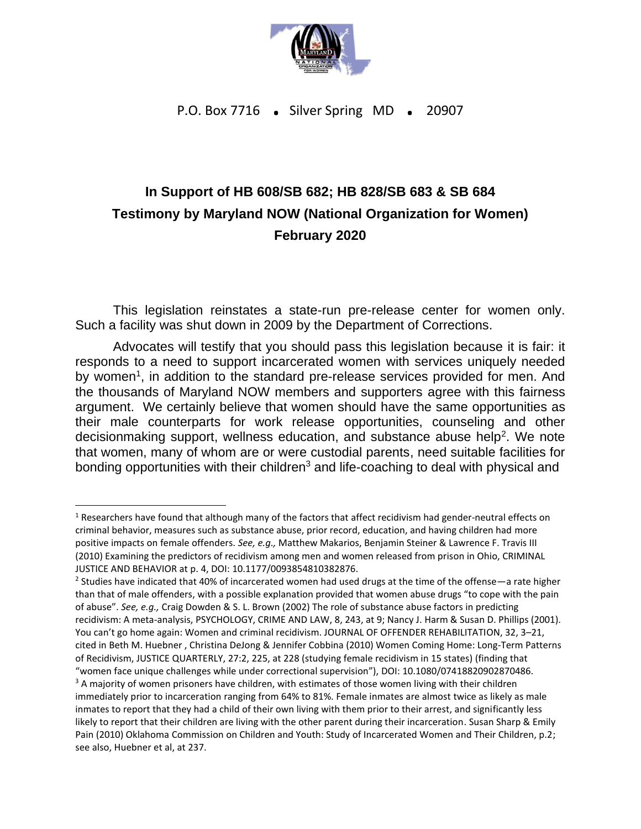

P.O. Box 7716 . Silver Spring MD . 20907

## **In Support of HB 608/SB 682; HB 828/SB 683 & SB 684 Testimony by Maryland NOW (National Organization for Women) February 2020**

This legislation reinstates a state-run pre-release center for women only. Such a facility was shut down in 2009 by the Department of Corrections.

Advocates will testify that you should pass this legislation because it is fair: it responds to a need to support incarcerated women with services uniquely needed by women<sup>1</sup>, in addition to the standard pre-release services provided for men. And the thousands of Maryland NOW members and supporters agree with this fairness argument. We certainly believe that women should have the same opportunities as their male counterparts for work release opportunities, counseling and other decisionmaking support, wellness education, and substance abuse help<sup>2</sup>. We note that women, many of whom are or were custodial parents, need suitable facilities for bonding opportunities with their children $3$  and life-coaching to deal with physical and

<sup>&</sup>lt;sup>1</sup> Researchers have found that although many of the factors that affect recidivism had gender-neutral effects on criminal behavior, measures such as substance abuse, prior record, education, and having children had more positive impacts on female offenders. *See, e.g.,* Matthew Makarios, Benjamin Steiner & Lawrence F. Travis III (2010) Examining the predictors of recidivism among men and women released from prison in Ohio, CRIMINAL JUSTICE AND BEHAVIOR at p. 4, DOI: 10.1177/0093854810382876.

<sup>&</sup>lt;sup>2</sup> Studies have indicated that 40% of incarcerated women had used drugs at the time of the offense—a rate higher than that of male offenders, with a possible explanation provided that women abuse drugs "to cope with the pain of abuse". *See, e.g.,* Craig Dowden & S. L. Brown (2002) The role of substance abuse factors in predicting recidivism: A meta-analysis, PSYCHOLOGY, CRIME AND LAW, 8, 243, at 9; Nancy J. Harm & Susan D. Phillips (2001). You can't go home again: Women and criminal recidivism. JOURNAL OF OFFENDER REHABILITATION, 32, 3–21, cited in Beth M. Huebner , Christina DeJong & Jennifer Cobbina (2010) Women Coming Home: Long‐Term Patterns of Recidivism, JUSTICE QUARTERLY, 27:2, 225, at 228 (studying female recidivism in 15 states) (finding that "women face unique challenges while under correctional supervision"), DOI: 10.1080/07418820902870486. <sup>3</sup> A majority of women prisoners have children, with estimates of those women living with their children immediately prior to incarceration ranging from 64% to 81%. Female inmates are almost twice as likely as male inmates to report that they had a child of their own living with them prior to their arrest, and significantly less likely to report that their children are living with the other parent during their incarceration. Susan Sharp & Emily Pain (2010) Oklahoma Commission on Children and Youth: Study of Incarcerated Women and Their Children, p.2; see also, Huebner et al, at 237.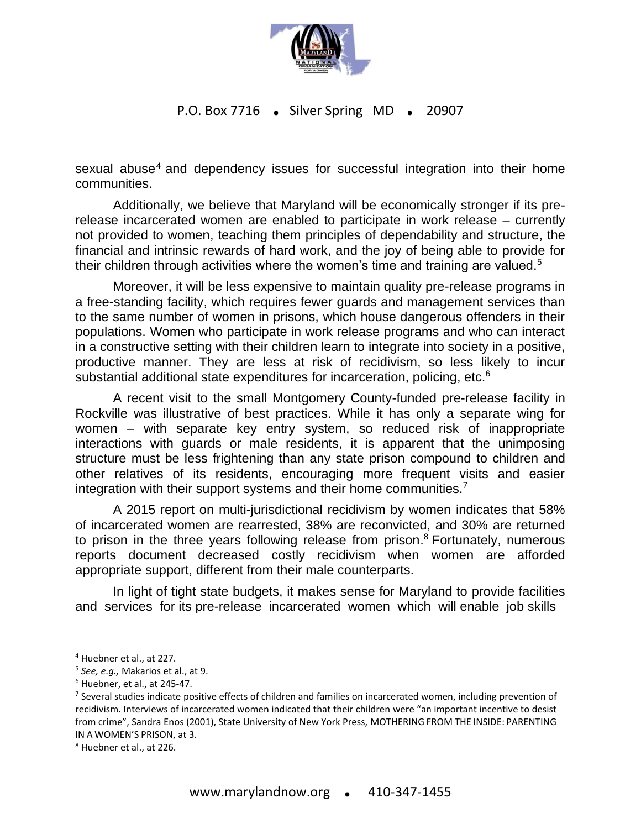

## P.O. Box 7716 . Silver Spring MD . 20907

sexual abuse<sup>4</sup> and dependency issues for successful integration into their home communities.

Additionally, we believe that Maryland will be economically stronger if its prerelease incarcerated women are enabled to participate in work release – currently not provided to women, teaching them principles of dependability and structure, the financial and intrinsic rewards of hard work, and the joy of being able to provide for their children through activities where the women's time and training are valued.<sup>5</sup>

Moreover, it will be less expensive to maintain quality pre-release programs in a free-standing facility, which requires fewer guards and management services than to the same number of women in prisons, which house dangerous offenders in their populations. Women who participate in work release programs and who can interact in a constructive setting with their children learn to integrate into society in a positive, productive manner. They are less at risk of recidivism, so less likely to incur substantial additional state expenditures for incarceration, policing, etc.<sup>6</sup>

A recent visit to the small Montgomery County-funded pre-release facility in Rockville was illustrative of best practices. While it has only a separate wing for women – with separate key entry system, so reduced risk of inappropriate interactions with guards or male residents, it is apparent that the unimposing structure must be less frightening than any state prison compound to children and other relatives of its residents, encouraging more frequent visits and easier integration with their support systems and their home communities.<sup>7</sup>

A 2015 report on multi-jurisdictional recidivism by women indicates that 58% of incarcerated women are rearrested, 38% are reconvicted, and 30% are returned to prison in the three years following release from prison. <sup>8</sup> Fortunately, numerous reports document decreased costly recidivism when women are afforded appropriate support, different from their male counterparts.

In light of tight state budgets, it makes sense for Maryland to provide facilities and services for its pre-release incarcerated women which will enable job skills

<sup>4</sup> Huebner et al., at 227.

<sup>5</sup> *See, e.g.,* Makarios et al., at 9.

<sup>6</sup> Huebner, et al., at 245-47.

<sup>&</sup>lt;sup>7</sup> Several studies indicate positive effects of children and families on incarcerated women, including prevention of recidivism. Interviews of incarcerated women indicated that their children were "an important incentive to desist from crime", Sandra Enos (2001), State University of New York Press, MOTHERING FROM THE INSIDE: PARENTING IN A WOMEN'S PRISON, at 3.

<sup>8</sup> Huebner et al., at 226.